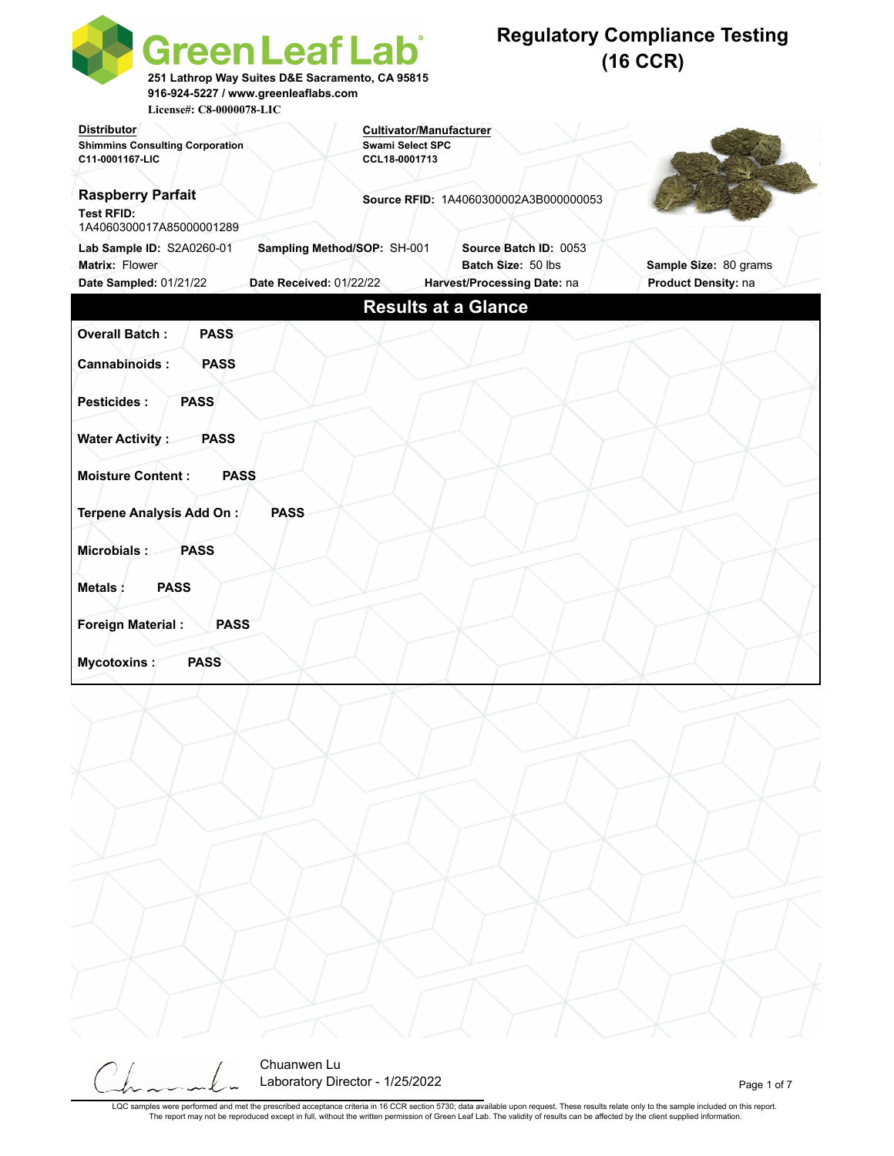| License#: C8-0000078-LIC                                                  | Green Leaf Lab <sup>®</sup><br>251 Lathrop Way Suites D&E Sacramento, CA 95815<br>916-924-5227 / www.greenleaflabs.com |                                          |                                             | <b>Regulatory Compliance Testing</b><br>$(16$ CCR) |                       |
|---------------------------------------------------------------------------|------------------------------------------------------------------------------------------------------------------------|------------------------------------------|---------------------------------------------|----------------------------------------------------|-----------------------|
| <b>Distributor</b>                                                        |                                                                                                                        | <b>Cultivator/Manufacturer</b>           |                                             |                                                    |                       |
| <b>Shimmins Consulting Corporation</b><br>C11-0001167-LIC                 |                                                                                                                        | <b>Swami Select SPC</b><br>CCL18-0001713 |                                             |                                                    |                       |
| <b>Raspberry Parfait</b><br><b>Test RFID:</b><br>1A4060300017A85000001289 |                                                                                                                        |                                          | Source RFID: 1A4060300002A3B000000053       |                                                    |                       |
| Lab Sample ID: S2A0260-01<br>Matrix: Flower                               | Sampling Method/SOP: SH-001                                                                                            |                                          | Source Batch ID: 0053<br>Batch Size: 50 lbs |                                                    | Sample Size: 80 grams |
| Date Sampled: 01/21/22                                                    | Date Received: 01/22/22                                                                                                |                                          | Harvest/Processing Date: na                 |                                                    | Product Density: na   |
|                                                                           |                                                                                                                        | <b>Results at a Glance</b>               |                                             |                                                    |                       |
| <b>Overall Batch:</b><br><b>PASS</b>                                      |                                                                                                                        |                                          |                                             |                                                    |                       |
| Cannabinoids:<br><b>PASS</b>                                              |                                                                                                                        |                                          |                                             |                                                    |                       |
| <b>PASS</b><br><b>Pesticides:</b>                                         |                                                                                                                        |                                          |                                             |                                                    |                       |
| <b>Water Activity:</b><br><b>PASS</b>                                     |                                                                                                                        |                                          |                                             |                                                    |                       |
| <b>Moisture Content:</b><br><b>PASS</b>                                   |                                                                                                                        |                                          |                                             |                                                    |                       |
| Terpene Analysis Add On:                                                  | <b>PASS</b>                                                                                                            |                                          |                                             |                                                    |                       |
| Microbials:<br><b>PASS</b>                                                |                                                                                                                        |                                          |                                             |                                                    |                       |
| <b>PASS</b><br><b>Metals:</b>                                             |                                                                                                                        |                                          |                                             |                                                    |                       |
| <b>Foreign Material:</b><br><b>PASS</b>                                   |                                                                                                                        |                                          |                                             |                                                    |                       |
| <b>PASS</b><br>Mycotoxins:                                                |                                                                                                                        |                                          |                                             |                                                    |                       |
|                                                                           |                                                                                                                        |                                          |                                             |                                                    |                       |
|                                                                           | Chuanwen Lu                                                                                                            |                                          |                                             |                                                    |                       |

Laboratory Director - 1/25/2022 and 2010 and 2010 and 2010 and 2010 and 2010 and 2010 and 2010 and 2011 and 20

LQC samples were performed and met the prescribed acceptance criteria in 16 CCR section 5730; data available upon request. These results relate only to the sample included on this report.<br>The report may not be reproduced e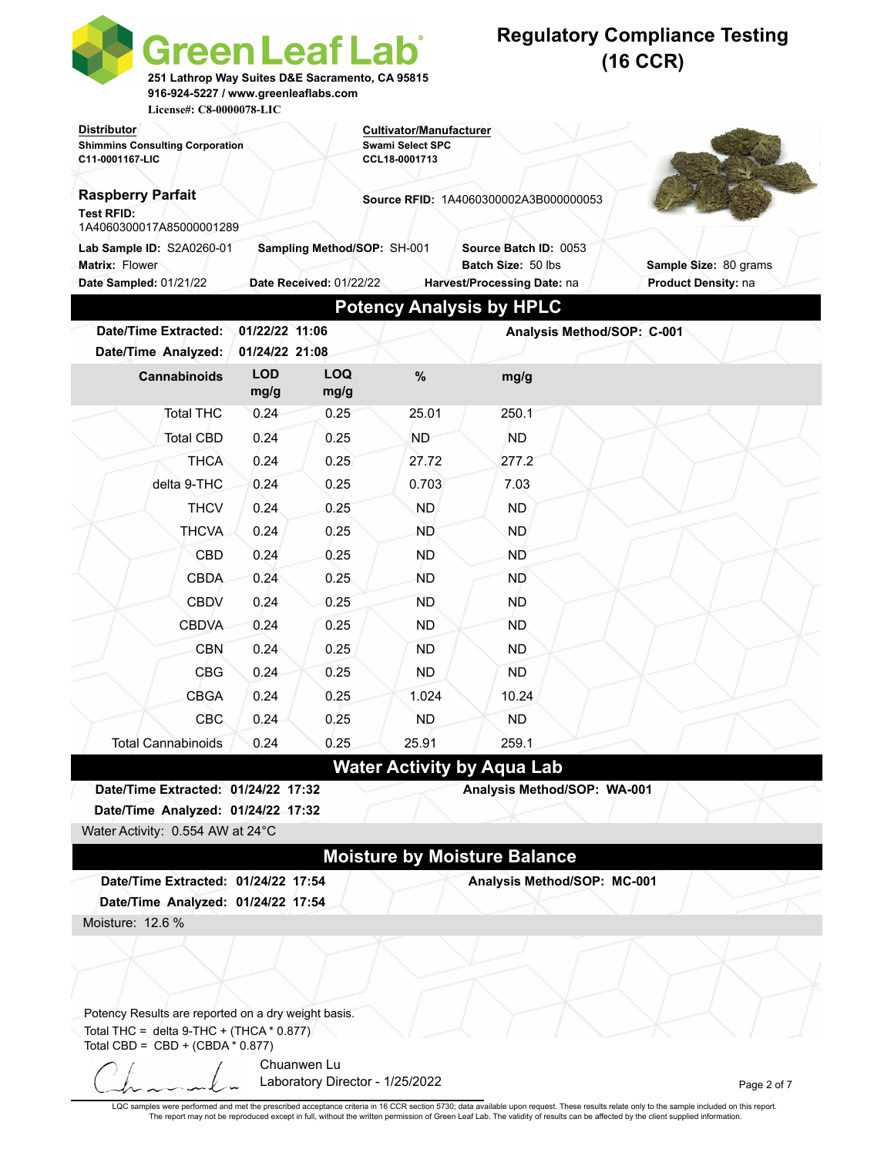| <b>Green Leaf Lab</b><br>916-924-5227 / www.greenleaflabs.com<br>License#: C8-0000078-LIC                                                  |                                  | 251 Lathrop Way Suites D&E Sacramento, CA 95815 |                                          |                                              | <b>Regulatory Compliance Testing</b><br>$(16$ CCR) |
|--------------------------------------------------------------------------------------------------------------------------------------------|----------------------------------|-------------------------------------------------|------------------------------------------|----------------------------------------------|----------------------------------------------------|
| <b>Distributor</b>                                                                                                                         |                                  |                                                 | <b>Cultivator/Manufacturer</b>           |                                              |                                                    |
| <b>Shimmins Consulting Corporation</b><br>C11-0001167-LIC                                                                                  |                                  |                                                 | <b>Swami Select SPC</b><br>CCL18-0001713 |                                              |                                                    |
|                                                                                                                                            |                                  |                                                 |                                          |                                              |                                                    |
| <b>Raspberry Parfait</b><br><b>Test RFID:</b><br>1A4060300017A85000001289                                                                  |                                  |                                                 |                                          | <b>Source RFID: 1A4060300002A3B000000053</b> |                                                    |
| Lab Sample ID: S2A0260-01                                                                                                                  |                                  | Sampling Method/SOP: SH-001                     |                                          | Source Batch ID: 0053                        |                                                    |
| Matrix: Flower                                                                                                                             |                                  |                                                 |                                          | Batch Size: 50 lbs                           | Sample Size: 80 grams                              |
| Date Sampled: 01/21/22                                                                                                                     |                                  | Date Received: 01/22/22                         |                                          | Harvest/Processing Date: na                  | Product Density: na                                |
|                                                                                                                                            |                                  |                                                 |                                          | <b>Potency Analysis by HPLC</b>              |                                                    |
| <b>Date/Time Extracted:</b><br>Date/Time Analyzed:                                                                                         | 01/22/22 11:06<br>01/24/22 21:08 |                                                 |                                          | Analysis Method/SOP: C-001                   |                                                    |
| Cannabinoids                                                                                                                               | <b>LOD</b><br>mg/g               | <b>LOQ</b><br>mg/g                              | %                                        | mg/g                                         |                                                    |
| <b>Total THC</b>                                                                                                                           | 0.24                             | 0.25                                            | 25.01                                    | 250.1                                        |                                                    |
| <b>Total CBD</b>                                                                                                                           | 0.24                             | 0.25                                            | <b>ND</b>                                | <b>ND</b>                                    |                                                    |
| <b>THCA</b>                                                                                                                                | 0.24                             | 0.25                                            | 27.72                                    | 277.2                                        |                                                    |
| delta 9-THC                                                                                                                                | 0.24                             | 0.25                                            | 0.703                                    | 7.03                                         |                                                    |
| <b>THCV</b>                                                                                                                                | 0.24                             | 0.25                                            | ND.                                      | <b>ND</b>                                    |                                                    |
| <b>THCVA</b>                                                                                                                               | 0.24                             | 0.25                                            | <b>ND</b>                                | ND.                                          |                                                    |
| CBD                                                                                                                                        | 0.24                             | 0.25                                            | ND.                                      | ND                                           |                                                    |
| <b>CBDA</b>                                                                                                                                | 0.24                             | 0.25                                            | ND.                                      | ND.                                          |                                                    |
| <b>CBDV</b>                                                                                                                                | 0.24                             | 0.25                                            | <b>ND</b>                                | ND                                           |                                                    |
| <b>CBDVA</b>                                                                                                                               | 0.24                             | 0.25                                            | <b>ND</b>                                | <b>ND</b>                                    |                                                    |
| <b>CBN</b>                                                                                                                                 | 0.24                             | 0.25                                            | ND                                       | ND                                           |                                                    |
| <b>CBG</b>                                                                                                                                 | 0.24                             | 0.25                                            | <b>ND</b>                                | <b>ND</b>                                    |                                                    |
| <b>CBGA</b>                                                                                                                                | 0.24                             | 0.25                                            | 1.024                                    | 10.24                                        |                                                    |
| CBC                                                                                                                                        | 0.24                             | 0.25                                            | <b>ND</b>                                | ND.                                          |                                                    |
| <b>Total Cannabinoids</b>                                                                                                                  | 0.24                             | 0.25                                            | 25.91                                    | 259.1                                        |                                                    |
|                                                                                                                                            |                                  |                                                 |                                          | <b>Water Activity by Aqua Lab</b>            |                                                    |
| Date/Time Extracted: 01/24/22 17:32                                                                                                        |                                  |                                                 |                                          | Analysis Method/SOP: WA-001                  |                                                    |
| Date/Time Analyzed: 01/24/22 17:32                                                                                                         |                                  |                                                 |                                          |                                              |                                                    |
| Water Activity: 0.554 AW at 24°C                                                                                                           |                                  |                                                 |                                          |                                              |                                                    |
|                                                                                                                                            |                                  |                                                 |                                          | <b>Moisture by Moisture Balance</b>          |                                                    |
| Date/Time Extracted: 01/24/22 17:54                                                                                                        |                                  |                                                 |                                          | Analysis Method/SOP: MC-001                  |                                                    |
| Date/Time Analyzed: 01/24/22 17:54                                                                                                         |                                  |                                                 |                                          |                                              |                                                    |
| Moisture: 12.6 %                                                                                                                           |                                  |                                                 |                                          |                                              |                                                    |
|                                                                                                                                            |                                  |                                                 |                                          |                                              |                                                    |
| Potency Results are reported on a dry weight basis.<br>Total THC = delta $9$ -THC + (THCA $*$ 0.877)<br>Total CBD = $CBD + (CBDA * 0.877)$ |                                  |                                                 |                                          |                                              |                                                    |
|                                                                                                                                            |                                  | Chuanwen Lu<br>Laboratory Director - 1/25/2022  |                                          |                                              | Page 2 of 7                                        |

LQC samples were performed and met the prescribed acceptance criteria in 16 CCR section 5730; data available upon request. These results relate only to the sample included on this report.<br>The report may not be reproduced e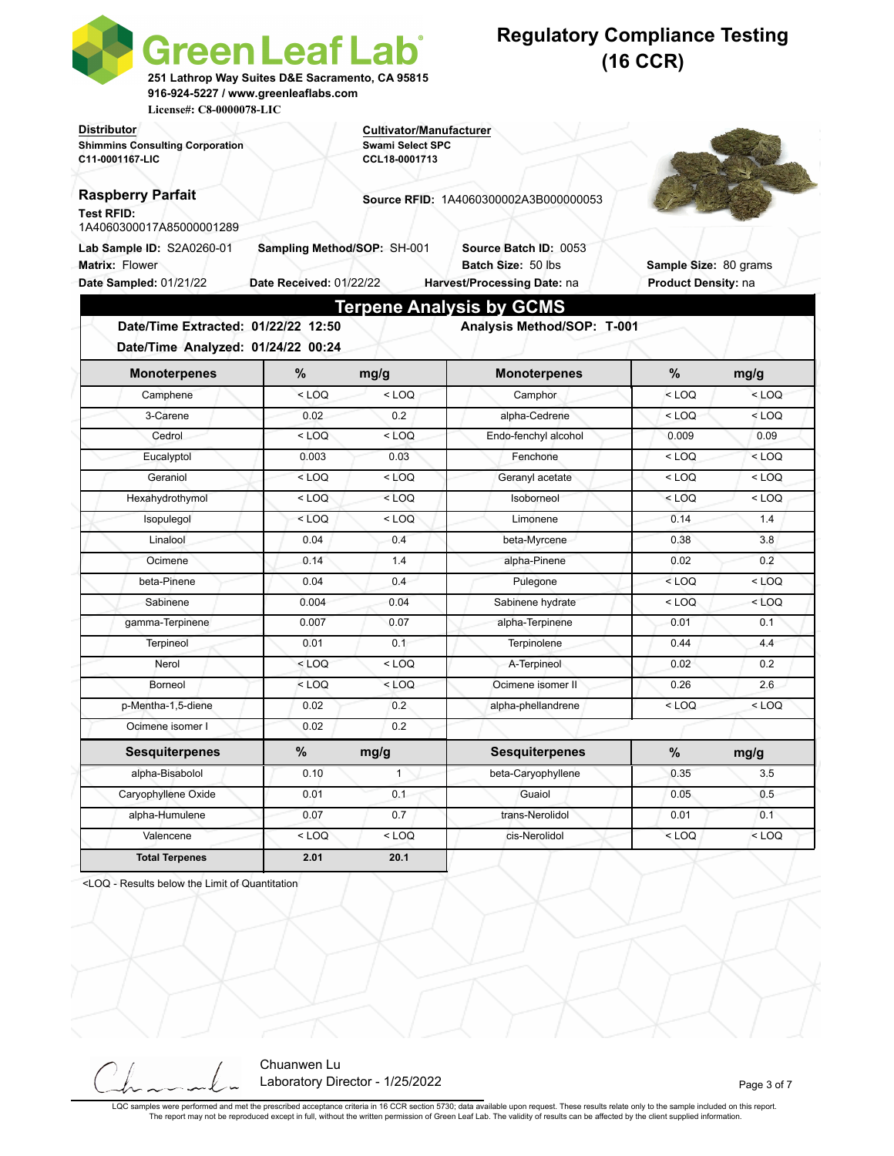| <b>Green Leaf Lab</b><br>251 Lathrop Way Suites D&E Sacramento, CA 95815<br>916-924-5227 / www.greenleaflabs.com<br>License#: C8-0000078-LIC |                                                        |                                                                     | <b>Regulatory Compliance Testing</b><br>$(16$ CCR)                         |                                              |         |  |
|----------------------------------------------------------------------------------------------------------------------------------------------|--------------------------------------------------------|---------------------------------------------------------------------|----------------------------------------------------------------------------|----------------------------------------------|---------|--|
| <b>Distributor</b><br><b>Shimmins Consulting Corporation</b><br>C11-0001167-LIC                                                              |                                                        | Cultivator/Manufacturer<br><b>Swami Select SPC</b><br>CCL18-0001713 |                                                                            |                                              |         |  |
| <b>Raspberry Parfait</b><br><b>Test RFID:</b><br>1A4060300017A85000001289                                                                    |                                                        |                                                                     | <b>Source RFID: 1A4060300002A3B000000053</b>                               |                                              |         |  |
| Lab Sample ID: S2A0260-01<br>Matrix: Flower<br>Date Sampled: 01/21/22                                                                        | Sampling Method/SOP: SH-001<br>Date Received: 01/22/22 |                                                                     | Source Batch ID: 0053<br>Batch Size: 50 lbs<br>Harvest/Processing Date: na | Sample Size: 80 grams<br>Product Density: na |         |  |
| Date/Time Extracted: 01/22/22 12:50<br>Date/Time Analyzed: 01/24/22 00:24                                                                    |                                                        |                                                                     | <b>Terpene Analysis by GCMS</b><br>Analysis Method/SOP: T-001              |                                              |         |  |
| <b>Monoterpenes</b>                                                                                                                          | $\%$                                                   | mg/g                                                                | <b>Monoterpenes</b>                                                        | $\%$                                         | mg/g    |  |
| Camphene                                                                                                                                     | $<$ LOQ                                                | $<$ LOQ                                                             | Camphor                                                                    | $<$ LOQ                                      | $<$ LOQ |  |
| 3-Carene                                                                                                                                     | 0.02                                                   | 0.2                                                                 | alpha-Cedrene                                                              | $<$ LOQ                                      | $<$ LOQ |  |
| Cedrol                                                                                                                                       | $<$ LOQ                                                | $<$ LOQ                                                             | Endo-fenchyl alcohol                                                       | 0.009                                        | 0.09    |  |
| Eucalyptol                                                                                                                                   | 0.003                                                  | 0.03                                                                | Fenchone                                                                   | $<$ LOQ                                      | $<$ LOQ |  |
| Geraniol                                                                                                                                     | $<$ LOQ                                                | < LOQ                                                               | Geranyl acetate                                                            | $<$ LOQ                                      | $<$ LOQ |  |
| Hexahydrothymol                                                                                                                              | $<$ LOQ                                                | $<$ LOQ                                                             | Isoborneol                                                                 | $<$ LOQ                                      | $<$ LOQ |  |
| Isopulegol                                                                                                                                   | $<$ LOQ                                                | $<$ LOQ                                                             | Limonene                                                                   | 0.14                                         | 1.4     |  |
| Linalool                                                                                                                                     | 0.04                                                   | 0.4                                                                 | beta-Myrcene                                                               | 0.38                                         | 3.8     |  |
| Ocimene                                                                                                                                      | 0.14                                                   | 1.4                                                                 | alpha-Pinene                                                               | 0.02                                         | 0.2     |  |
| beta-Pinene                                                                                                                                  | 0.04                                                   | 0.4                                                                 | Pulegone                                                                   | $<$ LOQ                                      | $<$ LOQ |  |
|                                                                                                                                              | 0.004                                                  | 0.04                                                                | Sabinene hydrate                                                           | $<$ LOQ                                      | $<$ LOQ |  |
| Sabinene                                                                                                                                     |                                                        |                                                                     |                                                                            |                                              |         |  |
| gamma-Terpinene                                                                                                                              | 0.007                                                  | 0.07                                                                | alpha-Terpinene                                                            | 0.01                                         | 0.1     |  |
| Terpineol                                                                                                                                    | 0.01                                                   | 0.1                                                                 | Terpinolene                                                                | 0.44                                         | 4.4     |  |
| Nerol                                                                                                                                        | $<$ LOQ                                                | $<$ LOQ                                                             | A-Terpineol                                                                | 0.02                                         | 0.2     |  |
| Borneol                                                                                                                                      | $<$ LOQ                                                | $<$ LOQ                                                             | Ocimene isomer II                                                          | 0.26                                         | 2.6     |  |
| p-Mentha-1,5-diene                                                                                                                           | 0.02                                                   | 0.2                                                                 | alpha-phellandrene                                                         | $<$ LOQ                                      | $<$ LOQ |  |
| Ocimene isomer I                                                                                                                             | 0.02                                                   | 0.2                                                                 |                                                                            |                                              |         |  |
| <b>Sesquiterpenes</b>                                                                                                                        | $\%$                                                   | mg/g                                                                | <b>Sesquiterpenes</b>                                                      | $\%$                                         | mg/g    |  |
| alpha-Bisabolol                                                                                                                              | 0.10                                                   | $\mathbf{1}$                                                        | beta-Caryophyllene                                                         | 0.35                                         | 3.5     |  |
| Caryophyllene Oxide                                                                                                                          | 0.01                                                   | 0.1                                                                 | Guaiol                                                                     | 0.05                                         | 0.5     |  |
| alpha-Humulene                                                                                                                               | 0.07                                                   | 0.7                                                                 | trans-Nerolidol                                                            | 0.01                                         | 0.1     |  |

<LOQ - Results below the Limit of Quantitation



LQC samples were performed and met the prescribed acceptance criteria in 16 CCR section 5730; data available upon request. These results relate only to the sample included on this report. The report may not be reproduced except in full, without the written permission of Green Leaf Lab. The validity of results can be affected by the client supplied information.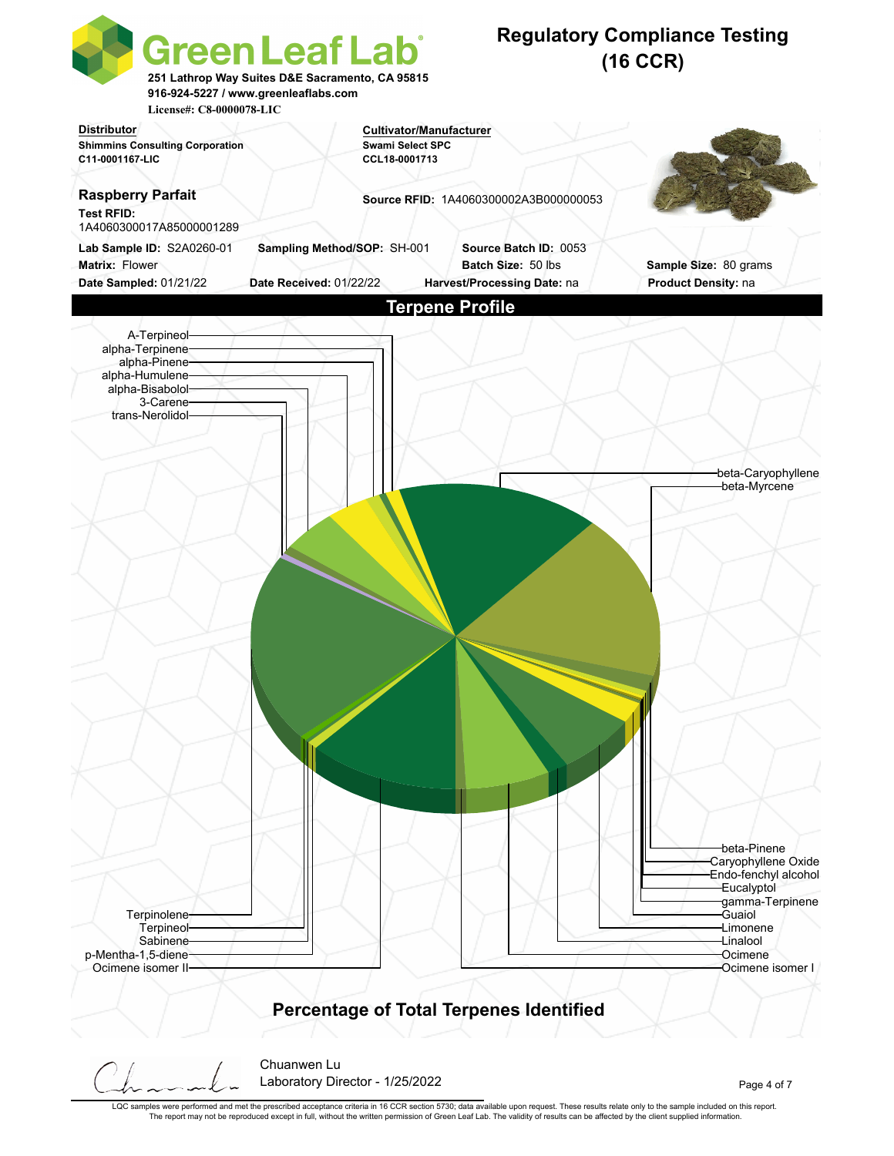

LQC samples were performed and met the prescribed acceptance criteria in 16 CCR section 5730; data available upon request. These results relate only to the sample included on this report. The report may not be reproduced except in full, without the written permission of Green Leaf Lab. The validity of results can be affected by the client supplied information.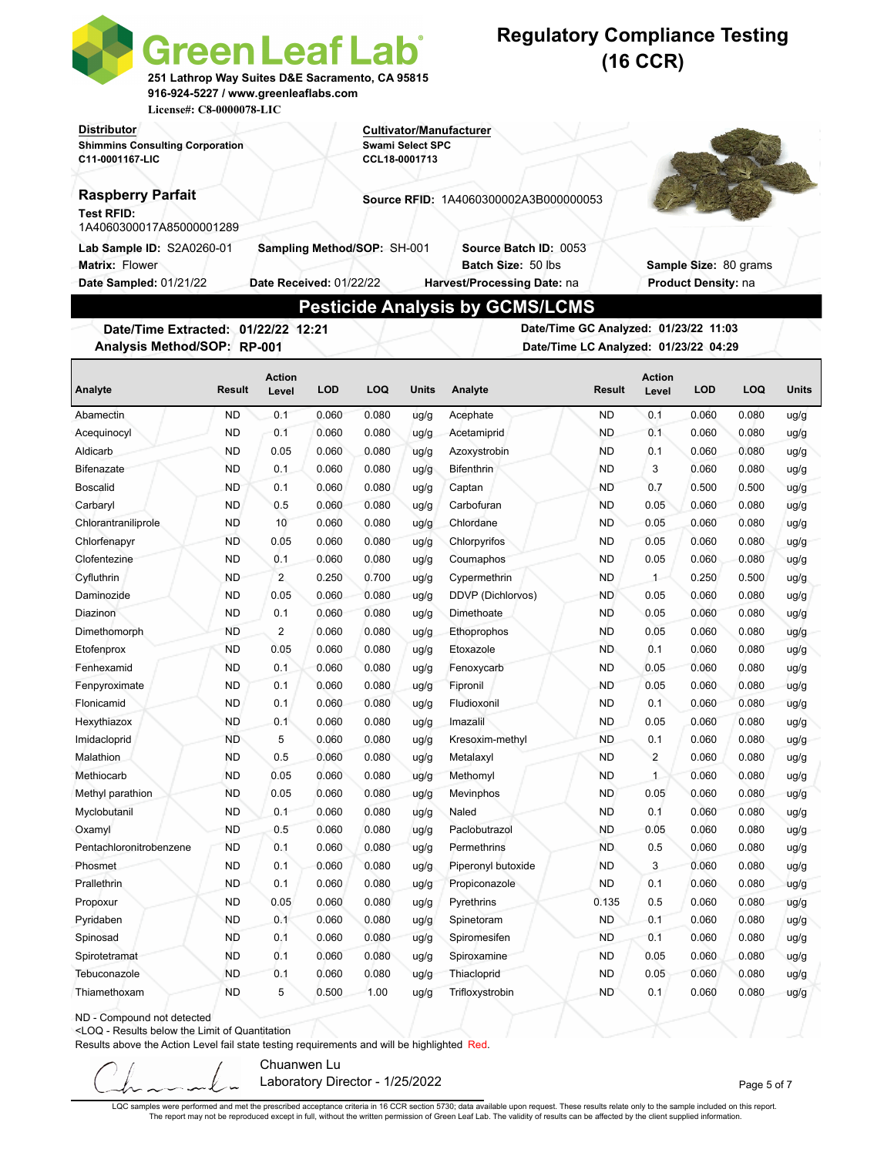| <b>Distributor</b><br>Cultivator/Manufacturer<br><b>Shimmins Consulting Corporation</b><br><b>Swami Select SPC</b><br>C11-0001167-LIC<br>CCL18-0001713<br><b>Raspberry Parfait</b><br>Source RFID: 1A4060300002A3B000000053<br><b>Test RFID:</b><br>1A4060300017A85000001289<br>Lab Sample ID: S2A0260-01<br>Sampling Method/SOP: SH-001<br><b>Source Batch ID: 0053</b><br><b>Matrix: Flower</b><br>Batch Size: 50 lbs<br>Sample Size: 80 grams<br>Date Sampled: 01/21/22<br>Date Received: 01/22/22<br>Harvest/Processing Date: na<br>Product Density: na<br><b>Pesticide Analysis by GCMS/LCMS</b><br>Date/Time GC Analyzed: 01/23/22 11:03<br>Date/Time Extracted: 01/22/22 12:21<br>Analysis Method/SOP: RP-001<br>Date/Time LC Analyzed: 01/23/22 04:29<br><b>Action</b><br><b>Action</b><br><b>LOD</b><br>LOQ<br><b>Result</b><br><b>LOQ</b><br>Analyte<br><b>Result</b><br><b>LOD</b><br><b>Units</b><br>Analyte<br>Units<br>Level<br>Level<br>0.1<br><b>ND</b><br>0.1<br>0.060<br>0.080<br>Acephate<br><b>ND</b><br>0.060<br>0.080<br>ug/g<br>ug/g<br><b>ND</b><br>0.1<br>0.060<br>0.080<br>ND.<br>0.1<br>0.060<br>0.080<br>Acequinocyl<br>Acetamiprid<br>ug/g<br>ug/g<br><b>ND</b><br>0.05<br>0.060<br>0.080<br><b>ND</b><br>0.1<br>0.060<br>0.080<br>Aldicarb<br>Azoxystrobin<br>ug/g<br>ug/g<br>0.1<br><b>ND</b><br>0.060<br>0.080<br><b>ND</b><br>3<br>0.060<br>0.080<br><b>Bifenazate</b><br><b>Bifenthrin</b><br>ug/g<br>ug/g<br>0.080<br><b>ND</b><br>0.500<br>0.500<br><b>Boscalid</b><br><b>ND</b><br>0.1<br>0.060<br>Captan<br>0.7<br>ug/g<br>ug/g<br><b>ND</b><br>0.5<br>0.060<br>0.080<br><b>ND</b><br>0.05<br>0.060<br>0.080<br>Carbaryl<br>Carbofuran<br>ug/g<br>ug/g<br><b>ND</b><br>10<br>0.080<br><b>ND</b><br>0.05<br>0.060<br>0.080<br>Chlorantraniliprole<br>0.060<br>Chlordane<br>ug/g<br>ug/g<br><b>ND</b><br>0.05<br>0.080<br>0.05<br>0.060<br>Chlorfenapyr<br>0.060<br>Chlorpyrifos<br><b>ND</b><br>0.080<br>ug/g<br>ug/g<br><b>ND</b><br>0.1<br>0.080<br>0.05<br>Clofentezine<br>0.060<br>Coumaphos<br><b>ND</b><br>0.060<br>0.080<br>ug/g<br>ug/g<br>Cyfluthrin<br><b>ND</b><br>$\overline{2}$<br>0.250<br>0.700<br>$1 -$<br>0.250<br>Cypermethrin<br>ND<br>0.500<br>ug/g<br>ug/g<br><b>ND</b><br>0.05<br>0.080<br>DDVP (Dichlorvos)<br><b>ND</b><br>0.05<br>0.060<br>0.080<br>Daminozide<br>0.060<br>ug/g<br>ug/g<br><b>ND</b><br>0.080<br>0.060<br>Diazinon<br>0.1<br>0.060<br>Dimethoate<br><b>ND</b><br>0.05<br>0.080<br>uq/q<br>ug/g<br><b>ND</b><br>2<br>0.05<br>Dimethomorph<br>0.060<br>0.080<br>Ethoprophos<br><b>ND</b><br>0.060<br>0.080<br>uq/q<br>ug/g<br>0.080<br>0.1<br>Etofenprox<br><b>ND</b><br>0.05<br>0.060<br>Etoxazole<br>ND.<br>0.060<br>0.080<br>uq/q<br>ug/g<br><b>ND</b><br>0.05<br>0.080<br><b>ND</b><br>0.060<br>0.080<br>0.060<br>Fenhexamid<br>0.1<br>ug/g<br>Fenoxycarb<br>ug/g<br>0.060<br>0.080<br><b>ND</b><br>0.05<br>0.080<br>Fenpyroximate<br><b>ND</b><br>0.1<br>Fipronil<br>0.060<br>ug/g<br>ug/g<br>0.060<br><b>ND</b><br>0.060<br>0.080<br>Flonicamid<br><b>ND</b><br>0.080<br>Fludioxonil<br>0.1<br>0.1<br>ug/g<br>ug/g<br><b>ND</b><br><b>ND</b><br>0.060<br>0.080<br>Imazalil<br>0.05<br>0.060<br>0.080<br>Hexythiazox<br>0.1<br>ug/g<br>ug/g<br>Imidacloprid<br><b>ND</b><br>5<br>0.060<br>0.080<br><b>ND</b><br>0.1<br>0.060<br>0.080<br>Kresoxim-methyl<br>ug/g<br>ug/g<br>Malathion<br><b>ND</b><br>0.5<br>0.060<br>0.080<br><b>ND</b><br>$\overline{c}$<br>0.060<br>0.080<br>Metalaxyl<br>ug/g<br>ug/g<br>Methiocarb<br><b>ND</b><br>0.05<br>0.060<br>0.080<br>Methomyl<br><b>ND</b><br>$\mathbf{1}$<br>0.060<br>0.080<br>ug/g<br>ug/g<br><b>ND</b><br><b>ND</b><br>0.05<br>0.060<br>0.080<br>0.05<br>0.080<br>Methyl parathion<br>ug/g<br>Mevinphos<br>0.060<br>ug/g<br>Myclobutanil<br><b>ND</b><br>0.1<br>0.060<br>0.080<br>Naled<br><b>ND</b><br>0.1<br>0.060<br>0.080<br>ug/g<br>ug/g<br><b>ND</b><br>Oxamyl<br><b>ND</b><br>0.5<br>0.060<br>0.080<br>Paclobutrazol<br>0.05<br>0.060<br>0.080<br>ug/g<br>ug/g<br><b>ND</b><br>0.1<br>0.060<br>0.080<br>Permethrins<br><b>ND</b><br>0.5<br>0.060<br>0.080<br>Pentachloronitrobenzene<br>ug/g<br>ug/g<br>3<br><b>ND</b><br>0.1<br>0.060<br>0.080<br>Piperonyl butoxide<br><b>ND</b><br>0.060<br>0.080<br>Phosmet<br>ug/g<br>ug/g<br>Prallethrin<br><b>ND</b><br>0.1<br>0.060<br>0.080<br><b>ND</b><br>0.1<br>0.060<br>0.080<br>Propiconazole<br>ug/g<br>ug/g<br>0.135<br>Propoxur<br><b>ND</b><br>0.05<br>0.060<br>0.080<br>Pyrethrins<br>0.5<br>0.060<br>0.080<br>ug/g<br>ug/g<br><b>ND</b><br>Pyridaben<br><b>ND</b><br>0.1<br>0.060<br>0.080<br>0.1<br>0.060<br>0.080<br>Spinetoram<br>ug/g<br>ug/g<br><b>ND</b><br>0.1<br>0.060<br>0.080<br><b>ND</b><br>0.1<br>0.060<br>0.080<br>Spinosad<br>Spiromesifen<br>ug/g<br>ug/g<br><b>ND</b><br>0.1<br>0.060<br>0.080<br><b>ND</b><br>0.05<br>0.060<br>0.080<br>Spirotetramat<br>ug/g<br>Spiroxamine<br>ug/g<br><b>ND</b><br>0.05<br>Tebuconazole<br>0.060<br>0.080<br>Thiacloprid<br><b>ND</b><br>0.060<br>0.080<br>0.1<br>ug/g<br>ug/g<br>0.500<br><b>ND</b><br>Thiamethoxam<br><b>ND</b><br>5<br>1.00<br>Trifloxystrobin<br>0.1<br>0.060<br>0.080<br>ug/g<br>ug/g | <b>Green Leaf Lab</b><br>251 Lathrop Way Suites D&E Sacramento, CA 95815<br>916-924-5227 / www.greenleaflabs.com<br>License#: C8-0000078-LIC |  |  |  |  | <b>Regulatory Compliance Testing</b> |  | (16 CCR) |  |  |  |
|------------------------------------------------------------------------------------------------------------------------------------------------------------------------------------------------------------------------------------------------------------------------------------------------------------------------------------------------------------------------------------------------------------------------------------------------------------------------------------------------------------------------------------------------------------------------------------------------------------------------------------------------------------------------------------------------------------------------------------------------------------------------------------------------------------------------------------------------------------------------------------------------------------------------------------------------------------------------------------------------------------------------------------------------------------------------------------------------------------------------------------------------------------------------------------------------------------------------------------------------------------------------------------------------------------------------------------------------------------------------------------------------------------------------------------------------------------------------------------------------------------------------------------------------------------------------------------------------------------------------------------------------------------------------------------------------------------------------------------------------------------------------------------------------------------------------------------------------------------------------------------------------------------------------------------------------------------------------------------------------------------------------------------------------------------------------------------------------------------------------------------------------------------------------------------------------------------------------------------------------------------------------------------------------------------------------------------------------------------------------------------------------------------------------------------------------------------------------------------------------------------------------------------------------------------------------------------------------------------------------------------------------------------------------------------------------------------------------------------------------------------------------------------------------------------------------------------------------------------------------------------------------------------------------------------------------------------------------------------------------------------------------------------------------------------------------------------------------------------------------------------------------------------------------------------------------------------------------------------------------------------------------------------------------------------------------------------------------------------------------------------------------------------------------------------------------------------------------------------------------------------------------------------------------------------------------------------------------------------------------------------------------------------------------------------------------------------------------------------------------------------------------------------------------------------------------------------------------------------------------------------------------------------------------------------------------------------------------------------------------------------------------------------------------------------------------------------------------------------------------------------------------------------------------------------------------------------------------------------------------------------------------------------------------------------------------------------------------------------------------------------------------------------------------------------------------------------------------------------------------------------------------------------------------------------------------------------------------------------------------------------------------------------------------------------------------------------------------------------------------------------------------------------------------------------------------------------------------------------------------------------------------------------------------------------------------------------------------------------------------------------------------------------------------------------------------------------------------------------------------------------------------------------|----------------------------------------------------------------------------------------------------------------------------------------------|--|--|--|--|--------------------------------------|--|----------|--|--|--|
|                                                                                                                                                                                                                                                                                                                                                                                                                                                                                                                                                                                                                                                                                                                                                                                                                                                                                                                                                                                                                                                                                                                                                                                                                                                                                                                                                                                                                                                                                                                                                                                                                                                                                                                                                                                                                                                                                                                                                                                                                                                                                                                                                                                                                                                                                                                                                                                                                                                                                                                                                                                                                                                                                                                                                                                                                                                                                                                                                                                                                                                                                                                                                                                                                                                                                                                                                                                                                                                                                                                                                                                                                                                                                                                                                                                                                                                                                                                                                                                                                                                                                                                                                                                                                                                                                                                                                                                                                                                                                                                                                                                                                                                                                                                                                                                                                                                                                                                                                                                                                                                                                                                                                            |                                                                                                                                              |  |  |  |  |                                      |  |          |  |  |  |
|                                                                                                                                                                                                                                                                                                                                                                                                                                                                                                                                                                                                                                                                                                                                                                                                                                                                                                                                                                                                                                                                                                                                                                                                                                                                                                                                                                                                                                                                                                                                                                                                                                                                                                                                                                                                                                                                                                                                                                                                                                                                                                                                                                                                                                                                                                                                                                                                                                                                                                                                                                                                                                                                                                                                                                                                                                                                                                                                                                                                                                                                                                                                                                                                                                                                                                                                                                                                                                                                                                                                                                                                                                                                                                                                                                                                                                                                                                                                                                                                                                                                                                                                                                                                                                                                                                                                                                                                                                                                                                                                                                                                                                                                                                                                                                                                                                                                                                                                                                                                                                                                                                                                                            |                                                                                                                                              |  |  |  |  |                                      |  |          |  |  |  |
|                                                                                                                                                                                                                                                                                                                                                                                                                                                                                                                                                                                                                                                                                                                                                                                                                                                                                                                                                                                                                                                                                                                                                                                                                                                                                                                                                                                                                                                                                                                                                                                                                                                                                                                                                                                                                                                                                                                                                                                                                                                                                                                                                                                                                                                                                                                                                                                                                                                                                                                                                                                                                                                                                                                                                                                                                                                                                                                                                                                                                                                                                                                                                                                                                                                                                                                                                                                                                                                                                                                                                                                                                                                                                                                                                                                                                                                                                                                                                                                                                                                                                                                                                                                                                                                                                                                                                                                                                                                                                                                                                                                                                                                                                                                                                                                                                                                                                                                                                                                                                                                                                                                                                            |                                                                                                                                              |  |  |  |  |                                      |  |          |  |  |  |
|                                                                                                                                                                                                                                                                                                                                                                                                                                                                                                                                                                                                                                                                                                                                                                                                                                                                                                                                                                                                                                                                                                                                                                                                                                                                                                                                                                                                                                                                                                                                                                                                                                                                                                                                                                                                                                                                                                                                                                                                                                                                                                                                                                                                                                                                                                                                                                                                                                                                                                                                                                                                                                                                                                                                                                                                                                                                                                                                                                                                                                                                                                                                                                                                                                                                                                                                                                                                                                                                                                                                                                                                                                                                                                                                                                                                                                                                                                                                                                                                                                                                                                                                                                                                                                                                                                                                                                                                                                                                                                                                                                                                                                                                                                                                                                                                                                                                                                                                                                                                                                                                                                                                                            |                                                                                                                                              |  |  |  |  |                                      |  |          |  |  |  |
|                                                                                                                                                                                                                                                                                                                                                                                                                                                                                                                                                                                                                                                                                                                                                                                                                                                                                                                                                                                                                                                                                                                                                                                                                                                                                                                                                                                                                                                                                                                                                                                                                                                                                                                                                                                                                                                                                                                                                                                                                                                                                                                                                                                                                                                                                                                                                                                                                                                                                                                                                                                                                                                                                                                                                                                                                                                                                                                                                                                                                                                                                                                                                                                                                                                                                                                                                                                                                                                                                                                                                                                                                                                                                                                                                                                                                                                                                                                                                                                                                                                                                                                                                                                                                                                                                                                                                                                                                                                                                                                                                                                                                                                                                                                                                                                                                                                                                                                                                                                                                                                                                                                                                            |                                                                                                                                              |  |  |  |  |                                      |  |          |  |  |  |
|                                                                                                                                                                                                                                                                                                                                                                                                                                                                                                                                                                                                                                                                                                                                                                                                                                                                                                                                                                                                                                                                                                                                                                                                                                                                                                                                                                                                                                                                                                                                                                                                                                                                                                                                                                                                                                                                                                                                                                                                                                                                                                                                                                                                                                                                                                                                                                                                                                                                                                                                                                                                                                                                                                                                                                                                                                                                                                                                                                                                                                                                                                                                                                                                                                                                                                                                                                                                                                                                                                                                                                                                                                                                                                                                                                                                                                                                                                                                                                                                                                                                                                                                                                                                                                                                                                                                                                                                                                                                                                                                                                                                                                                                                                                                                                                                                                                                                                                                                                                                                                                                                                                                                            |                                                                                                                                              |  |  |  |  |                                      |  |          |  |  |  |
|                                                                                                                                                                                                                                                                                                                                                                                                                                                                                                                                                                                                                                                                                                                                                                                                                                                                                                                                                                                                                                                                                                                                                                                                                                                                                                                                                                                                                                                                                                                                                                                                                                                                                                                                                                                                                                                                                                                                                                                                                                                                                                                                                                                                                                                                                                                                                                                                                                                                                                                                                                                                                                                                                                                                                                                                                                                                                                                                                                                                                                                                                                                                                                                                                                                                                                                                                                                                                                                                                                                                                                                                                                                                                                                                                                                                                                                                                                                                                                                                                                                                                                                                                                                                                                                                                                                                                                                                                                                                                                                                                                                                                                                                                                                                                                                                                                                                                                                                                                                                                                                                                                                                                            |                                                                                                                                              |  |  |  |  |                                      |  |          |  |  |  |
|                                                                                                                                                                                                                                                                                                                                                                                                                                                                                                                                                                                                                                                                                                                                                                                                                                                                                                                                                                                                                                                                                                                                                                                                                                                                                                                                                                                                                                                                                                                                                                                                                                                                                                                                                                                                                                                                                                                                                                                                                                                                                                                                                                                                                                                                                                                                                                                                                                                                                                                                                                                                                                                                                                                                                                                                                                                                                                                                                                                                                                                                                                                                                                                                                                                                                                                                                                                                                                                                                                                                                                                                                                                                                                                                                                                                                                                                                                                                                                                                                                                                                                                                                                                                                                                                                                                                                                                                                                                                                                                                                                                                                                                                                                                                                                                                                                                                                                                                                                                                                                                                                                                                                            |                                                                                                                                              |  |  |  |  |                                      |  |          |  |  |  |
|                                                                                                                                                                                                                                                                                                                                                                                                                                                                                                                                                                                                                                                                                                                                                                                                                                                                                                                                                                                                                                                                                                                                                                                                                                                                                                                                                                                                                                                                                                                                                                                                                                                                                                                                                                                                                                                                                                                                                                                                                                                                                                                                                                                                                                                                                                                                                                                                                                                                                                                                                                                                                                                                                                                                                                                                                                                                                                                                                                                                                                                                                                                                                                                                                                                                                                                                                                                                                                                                                                                                                                                                                                                                                                                                                                                                                                                                                                                                                                                                                                                                                                                                                                                                                                                                                                                                                                                                                                                                                                                                                                                                                                                                                                                                                                                                                                                                                                                                                                                                                                                                                                                                                            |                                                                                                                                              |  |  |  |  |                                      |  |          |  |  |  |
|                                                                                                                                                                                                                                                                                                                                                                                                                                                                                                                                                                                                                                                                                                                                                                                                                                                                                                                                                                                                                                                                                                                                                                                                                                                                                                                                                                                                                                                                                                                                                                                                                                                                                                                                                                                                                                                                                                                                                                                                                                                                                                                                                                                                                                                                                                                                                                                                                                                                                                                                                                                                                                                                                                                                                                                                                                                                                                                                                                                                                                                                                                                                                                                                                                                                                                                                                                                                                                                                                                                                                                                                                                                                                                                                                                                                                                                                                                                                                                                                                                                                                                                                                                                                                                                                                                                                                                                                                                                                                                                                                                                                                                                                                                                                                                                                                                                                                                                                                                                                                                                                                                                                                            |                                                                                                                                              |  |  |  |  |                                      |  |          |  |  |  |
|                                                                                                                                                                                                                                                                                                                                                                                                                                                                                                                                                                                                                                                                                                                                                                                                                                                                                                                                                                                                                                                                                                                                                                                                                                                                                                                                                                                                                                                                                                                                                                                                                                                                                                                                                                                                                                                                                                                                                                                                                                                                                                                                                                                                                                                                                                                                                                                                                                                                                                                                                                                                                                                                                                                                                                                                                                                                                                                                                                                                                                                                                                                                                                                                                                                                                                                                                                                                                                                                                                                                                                                                                                                                                                                                                                                                                                                                                                                                                                                                                                                                                                                                                                                                                                                                                                                                                                                                                                                                                                                                                                                                                                                                                                                                                                                                                                                                                                                                                                                                                                                                                                                                                            |                                                                                                                                              |  |  |  |  |                                      |  |          |  |  |  |
|                                                                                                                                                                                                                                                                                                                                                                                                                                                                                                                                                                                                                                                                                                                                                                                                                                                                                                                                                                                                                                                                                                                                                                                                                                                                                                                                                                                                                                                                                                                                                                                                                                                                                                                                                                                                                                                                                                                                                                                                                                                                                                                                                                                                                                                                                                                                                                                                                                                                                                                                                                                                                                                                                                                                                                                                                                                                                                                                                                                                                                                                                                                                                                                                                                                                                                                                                                                                                                                                                                                                                                                                                                                                                                                                                                                                                                                                                                                                                                                                                                                                                                                                                                                                                                                                                                                                                                                                                                                                                                                                                                                                                                                                                                                                                                                                                                                                                                                                                                                                                                                                                                                                                            |                                                                                                                                              |  |  |  |  |                                      |  |          |  |  |  |
|                                                                                                                                                                                                                                                                                                                                                                                                                                                                                                                                                                                                                                                                                                                                                                                                                                                                                                                                                                                                                                                                                                                                                                                                                                                                                                                                                                                                                                                                                                                                                                                                                                                                                                                                                                                                                                                                                                                                                                                                                                                                                                                                                                                                                                                                                                                                                                                                                                                                                                                                                                                                                                                                                                                                                                                                                                                                                                                                                                                                                                                                                                                                                                                                                                                                                                                                                                                                                                                                                                                                                                                                                                                                                                                                                                                                                                                                                                                                                                                                                                                                                                                                                                                                                                                                                                                                                                                                                                                                                                                                                                                                                                                                                                                                                                                                                                                                                                                                                                                                                                                                                                                                                            |                                                                                                                                              |  |  |  |  |                                      |  |          |  |  |  |
|                                                                                                                                                                                                                                                                                                                                                                                                                                                                                                                                                                                                                                                                                                                                                                                                                                                                                                                                                                                                                                                                                                                                                                                                                                                                                                                                                                                                                                                                                                                                                                                                                                                                                                                                                                                                                                                                                                                                                                                                                                                                                                                                                                                                                                                                                                                                                                                                                                                                                                                                                                                                                                                                                                                                                                                                                                                                                                                                                                                                                                                                                                                                                                                                                                                                                                                                                                                                                                                                                                                                                                                                                                                                                                                                                                                                                                                                                                                                                                                                                                                                                                                                                                                                                                                                                                                                                                                                                                                                                                                                                                                                                                                                                                                                                                                                                                                                                                                                                                                                                                                                                                                                                            |                                                                                                                                              |  |  |  |  |                                      |  |          |  |  |  |
|                                                                                                                                                                                                                                                                                                                                                                                                                                                                                                                                                                                                                                                                                                                                                                                                                                                                                                                                                                                                                                                                                                                                                                                                                                                                                                                                                                                                                                                                                                                                                                                                                                                                                                                                                                                                                                                                                                                                                                                                                                                                                                                                                                                                                                                                                                                                                                                                                                                                                                                                                                                                                                                                                                                                                                                                                                                                                                                                                                                                                                                                                                                                                                                                                                                                                                                                                                                                                                                                                                                                                                                                                                                                                                                                                                                                                                                                                                                                                                                                                                                                                                                                                                                                                                                                                                                                                                                                                                                                                                                                                                                                                                                                                                                                                                                                                                                                                                                                                                                                                                                                                                                                                            | Abamectin                                                                                                                                    |  |  |  |  |                                      |  |          |  |  |  |
|                                                                                                                                                                                                                                                                                                                                                                                                                                                                                                                                                                                                                                                                                                                                                                                                                                                                                                                                                                                                                                                                                                                                                                                                                                                                                                                                                                                                                                                                                                                                                                                                                                                                                                                                                                                                                                                                                                                                                                                                                                                                                                                                                                                                                                                                                                                                                                                                                                                                                                                                                                                                                                                                                                                                                                                                                                                                                                                                                                                                                                                                                                                                                                                                                                                                                                                                                                                                                                                                                                                                                                                                                                                                                                                                                                                                                                                                                                                                                                                                                                                                                                                                                                                                                                                                                                                                                                                                                                                                                                                                                                                                                                                                                                                                                                                                                                                                                                                                                                                                                                                                                                                                                            |                                                                                                                                              |  |  |  |  |                                      |  |          |  |  |  |
|                                                                                                                                                                                                                                                                                                                                                                                                                                                                                                                                                                                                                                                                                                                                                                                                                                                                                                                                                                                                                                                                                                                                                                                                                                                                                                                                                                                                                                                                                                                                                                                                                                                                                                                                                                                                                                                                                                                                                                                                                                                                                                                                                                                                                                                                                                                                                                                                                                                                                                                                                                                                                                                                                                                                                                                                                                                                                                                                                                                                                                                                                                                                                                                                                                                                                                                                                                                                                                                                                                                                                                                                                                                                                                                                                                                                                                                                                                                                                                                                                                                                                                                                                                                                                                                                                                                                                                                                                                                                                                                                                                                                                                                                                                                                                                                                                                                                                                                                                                                                                                                                                                                                                            |                                                                                                                                              |  |  |  |  |                                      |  |          |  |  |  |
|                                                                                                                                                                                                                                                                                                                                                                                                                                                                                                                                                                                                                                                                                                                                                                                                                                                                                                                                                                                                                                                                                                                                                                                                                                                                                                                                                                                                                                                                                                                                                                                                                                                                                                                                                                                                                                                                                                                                                                                                                                                                                                                                                                                                                                                                                                                                                                                                                                                                                                                                                                                                                                                                                                                                                                                                                                                                                                                                                                                                                                                                                                                                                                                                                                                                                                                                                                                                                                                                                                                                                                                                                                                                                                                                                                                                                                                                                                                                                                                                                                                                                                                                                                                                                                                                                                                                                                                                                                                                                                                                                                                                                                                                                                                                                                                                                                                                                                                                                                                                                                                                                                                                                            |                                                                                                                                              |  |  |  |  |                                      |  |          |  |  |  |
|                                                                                                                                                                                                                                                                                                                                                                                                                                                                                                                                                                                                                                                                                                                                                                                                                                                                                                                                                                                                                                                                                                                                                                                                                                                                                                                                                                                                                                                                                                                                                                                                                                                                                                                                                                                                                                                                                                                                                                                                                                                                                                                                                                                                                                                                                                                                                                                                                                                                                                                                                                                                                                                                                                                                                                                                                                                                                                                                                                                                                                                                                                                                                                                                                                                                                                                                                                                                                                                                                                                                                                                                                                                                                                                                                                                                                                                                                                                                                                                                                                                                                                                                                                                                                                                                                                                                                                                                                                                                                                                                                                                                                                                                                                                                                                                                                                                                                                                                                                                                                                                                                                                                                            |                                                                                                                                              |  |  |  |  |                                      |  |          |  |  |  |
|                                                                                                                                                                                                                                                                                                                                                                                                                                                                                                                                                                                                                                                                                                                                                                                                                                                                                                                                                                                                                                                                                                                                                                                                                                                                                                                                                                                                                                                                                                                                                                                                                                                                                                                                                                                                                                                                                                                                                                                                                                                                                                                                                                                                                                                                                                                                                                                                                                                                                                                                                                                                                                                                                                                                                                                                                                                                                                                                                                                                                                                                                                                                                                                                                                                                                                                                                                                                                                                                                                                                                                                                                                                                                                                                                                                                                                                                                                                                                                                                                                                                                                                                                                                                                                                                                                                                                                                                                                                                                                                                                                                                                                                                                                                                                                                                                                                                                                                                                                                                                                                                                                                                                            |                                                                                                                                              |  |  |  |  |                                      |  |          |  |  |  |
|                                                                                                                                                                                                                                                                                                                                                                                                                                                                                                                                                                                                                                                                                                                                                                                                                                                                                                                                                                                                                                                                                                                                                                                                                                                                                                                                                                                                                                                                                                                                                                                                                                                                                                                                                                                                                                                                                                                                                                                                                                                                                                                                                                                                                                                                                                                                                                                                                                                                                                                                                                                                                                                                                                                                                                                                                                                                                                                                                                                                                                                                                                                                                                                                                                                                                                                                                                                                                                                                                                                                                                                                                                                                                                                                                                                                                                                                                                                                                                                                                                                                                                                                                                                                                                                                                                                                                                                                                                                                                                                                                                                                                                                                                                                                                                                                                                                                                                                                                                                                                                                                                                                                                            |                                                                                                                                              |  |  |  |  |                                      |  |          |  |  |  |
|                                                                                                                                                                                                                                                                                                                                                                                                                                                                                                                                                                                                                                                                                                                                                                                                                                                                                                                                                                                                                                                                                                                                                                                                                                                                                                                                                                                                                                                                                                                                                                                                                                                                                                                                                                                                                                                                                                                                                                                                                                                                                                                                                                                                                                                                                                                                                                                                                                                                                                                                                                                                                                                                                                                                                                                                                                                                                                                                                                                                                                                                                                                                                                                                                                                                                                                                                                                                                                                                                                                                                                                                                                                                                                                                                                                                                                                                                                                                                                                                                                                                                                                                                                                                                                                                                                                                                                                                                                                                                                                                                                                                                                                                                                                                                                                                                                                                                                                                                                                                                                                                                                                                                            |                                                                                                                                              |  |  |  |  |                                      |  |          |  |  |  |
|                                                                                                                                                                                                                                                                                                                                                                                                                                                                                                                                                                                                                                                                                                                                                                                                                                                                                                                                                                                                                                                                                                                                                                                                                                                                                                                                                                                                                                                                                                                                                                                                                                                                                                                                                                                                                                                                                                                                                                                                                                                                                                                                                                                                                                                                                                                                                                                                                                                                                                                                                                                                                                                                                                                                                                                                                                                                                                                                                                                                                                                                                                                                                                                                                                                                                                                                                                                                                                                                                                                                                                                                                                                                                                                                                                                                                                                                                                                                                                                                                                                                                                                                                                                                                                                                                                                                                                                                                                                                                                                                                                                                                                                                                                                                                                                                                                                                                                                                                                                                                                                                                                                                                            |                                                                                                                                              |  |  |  |  |                                      |  |          |  |  |  |
|                                                                                                                                                                                                                                                                                                                                                                                                                                                                                                                                                                                                                                                                                                                                                                                                                                                                                                                                                                                                                                                                                                                                                                                                                                                                                                                                                                                                                                                                                                                                                                                                                                                                                                                                                                                                                                                                                                                                                                                                                                                                                                                                                                                                                                                                                                                                                                                                                                                                                                                                                                                                                                                                                                                                                                                                                                                                                                                                                                                                                                                                                                                                                                                                                                                                                                                                                                                                                                                                                                                                                                                                                                                                                                                                                                                                                                                                                                                                                                                                                                                                                                                                                                                                                                                                                                                                                                                                                                                                                                                                                                                                                                                                                                                                                                                                                                                                                                                                                                                                                                                                                                                                                            |                                                                                                                                              |  |  |  |  |                                      |  |          |  |  |  |
|                                                                                                                                                                                                                                                                                                                                                                                                                                                                                                                                                                                                                                                                                                                                                                                                                                                                                                                                                                                                                                                                                                                                                                                                                                                                                                                                                                                                                                                                                                                                                                                                                                                                                                                                                                                                                                                                                                                                                                                                                                                                                                                                                                                                                                                                                                                                                                                                                                                                                                                                                                                                                                                                                                                                                                                                                                                                                                                                                                                                                                                                                                                                                                                                                                                                                                                                                                                                                                                                                                                                                                                                                                                                                                                                                                                                                                                                                                                                                                                                                                                                                                                                                                                                                                                                                                                                                                                                                                                                                                                                                                                                                                                                                                                                                                                                                                                                                                                                                                                                                                                                                                                                                            |                                                                                                                                              |  |  |  |  |                                      |  |          |  |  |  |
|                                                                                                                                                                                                                                                                                                                                                                                                                                                                                                                                                                                                                                                                                                                                                                                                                                                                                                                                                                                                                                                                                                                                                                                                                                                                                                                                                                                                                                                                                                                                                                                                                                                                                                                                                                                                                                                                                                                                                                                                                                                                                                                                                                                                                                                                                                                                                                                                                                                                                                                                                                                                                                                                                                                                                                                                                                                                                                                                                                                                                                                                                                                                                                                                                                                                                                                                                                                                                                                                                                                                                                                                                                                                                                                                                                                                                                                                                                                                                                                                                                                                                                                                                                                                                                                                                                                                                                                                                                                                                                                                                                                                                                                                                                                                                                                                                                                                                                                                                                                                                                                                                                                                                            |                                                                                                                                              |  |  |  |  |                                      |  |          |  |  |  |
|                                                                                                                                                                                                                                                                                                                                                                                                                                                                                                                                                                                                                                                                                                                                                                                                                                                                                                                                                                                                                                                                                                                                                                                                                                                                                                                                                                                                                                                                                                                                                                                                                                                                                                                                                                                                                                                                                                                                                                                                                                                                                                                                                                                                                                                                                                                                                                                                                                                                                                                                                                                                                                                                                                                                                                                                                                                                                                                                                                                                                                                                                                                                                                                                                                                                                                                                                                                                                                                                                                                                                                                                                                                                                                                                                                                                                                                                                                                                                                                                                                                                                                                                                                                                                                                                                                                                                                                                                                                                                                                                                                                                                                                                                                                                                                                                                                                                                                                                                                                                                                                                                                                                                            |                                                                                                                                              |  |  |  |  |                                      |  |          |  |  |  |
|                                                                                                                                                                                                                                                                                                                                                                                                                                                                                                                                                                                                                                                                                                                                                                                                                                                                                                                                                                                                                                                                                                                                                                                                                                                                                                                                                                                                                                                                                                                                                                                                                                                                                                                                                                                                                                                                                                                                                                                                                                                                                                                                                                                                                                                                                                                                                                                                                                                                                                                                                                                                                                                                                                                                                                                                                                                                                                                                                                                                                                                                                                                                                                                                                                                                                                                                                                                                                                                                                                                                                                                                                                                                                                                                                                                                                                                                                                                                                                                                                                                                                                                                                                                                                                                                                                                                                                                                                                                                                                                                                                                                                                                                                                                                                                                                                                                                                                                                                                                                                                                                                                                                                            |                                                                                                                                              |  |  |  |  |                                      |  |          |  |  |  |
|                                                                                                                                                                                                                                                                                                                                                                                                                                                                                                                                                                                                                                                                                                                                                                                                                                                                                                                                                                                                                                                                                                                                                                                                                                                                                                                                                                                                                                                                                                                                                                                                                                                                                                                                                                                                                                                                                                                                                                                                                                                                                                                                                                                                                                                                                                                                                                                                                                                                                                                                                                                                                                                                                                                                                                                                                                                                                                                                                                                                                                                                                                                                                                                                                                                                                                                                                                                                                                                                                                                                                                                                                                                                                                                                                                                                                                                                                                                                                                                                                                                                                                                                                                                                                                                                                                                                                                                                                                                                                                                                                                                                                                                                                                                                                                                                                                                                                                                                                                                                                                                                                                                                                            |                                                                                                                                              |  |  |  |  |                                      |  |          |  |  |  |
|                                                                                                                                                                                                                                                                                                                                                                                                                                                                                                                                                                                                                                                                                                                                                                                                                                                                                                                                                                                                                                                                                                                                                                                                                                                                                                                                                                                                                                                                                                                                                                                                                                                                                                                                                                                                                                                                                                                                                                                                                                                                                                                                                                                                                                                                                                                                                                                                                                                                                                                                                                                                                                                                                                                                                                                                                                                                                                                                                                                                                                                                                                                                                                                                                                                                                                                                                                                                                                                                                                                                                                                                                                                                                                                                                                                                                                                                                                                                                                                                                                                                                                                                                                                                                                                                                                                                                                                                                                                                                                                                                                                                                                                                                                                                                                                                                                                                                                                                                                                                                                                                                                                                                            |                                                                                                                                              |  |  |  |  |                                      |  |          |  |  |  |
|                                                                                                                                                                                                                                                                                                                                                                                                                                                                                                                                                                                                                                                                                                                                                                                                                                                                                                                                                                                                                                                                                                                                                                                                                                                                                                                                                                                                                                                                                                                                                                                                                                                                                                                                                                                                                                                                                                                                                                                                                                                                                                                                                                                                                                                                                                                                                                                                                                                                                                                                                                                                                                                                                                                                                                                                                                                                                                                                                                                                                                                                                                                                                                                                                                                                                                                                                                                                                                                                                                                                                                                                                                                                                                                                                                                                                                                                                                                                                                                                                                                                                                                                                                                                                                                                                                                                                                                                                                                                                                                                                                                                                                                                                                                                                                                                                                                                                                                                                                                                                                                                                                                                                            |                                                                                                                                              |  |  |  |  |                                      |  |          |  |  |  |
|                                                                                                                                                                                                                                                                                                                                                                                                                                                                                                                                                                                                                                                                                                                                                                                                                                                                                                                                                                                                                                                                                                                                                                                                                                                                                                                                                                                                                                                                                                                                                                                                                                                                                                                                                                                                                                                                                                                                                                                                                                                                                                                                                                                                                                                                                                                                                                                                                                                                                                                                                                                                                                                                                                                                                                                                                                                                                                                                                                                                                                                                                                                                                                                                                                                                                                                                                                                                                                                                                                                                                                                                                                                                                                                                                                                                                                                                                                                                                                                                                                                                                                                                                                                                                                                                                                                                                                                                                                                                                                                                                                                                                                                                                                                                                                                                                                                                                                                                                                                                                                                                                                                                                            |                                                                                                                                              |  |  |  |  |                                      |  |          |  |  |  |
|                                                                                                                                                                                                                                                                                                                                                                                                                                                                                                                                                                                                                                                                                                                                                                                                                                                                                                                                                                                                                                                                                                                                                                                                                                                                                                                                                                                                                                                                                                                                                                                                                                                                                                                                                                                                                                                                                                                                                                                                                                                                                                                                                                                                                                                                                                                                                                                                                                                                                                                                                                                                                                                                                                                                                                                                                                                                                                                                                                                                                                                                                                                                                                                                                                                                                                                                                                                                                                                                                                                                                                                                                                                                                                                                                                                                                                                                                                                                                                                                                                                                                                                                                                                                                                                                                                                                                                                                                                                                                                                                                                                                                                                                                                                                                                                                                                                                                                                                                                                                                                                                                                                                                            |                                                                                                                                              |  |  |  |  |                                      |  |          |  |  |  |
|                                                                                                                                                                                                                                                                                                                                                                                                                                                                                                                                                                                                                                                                                                                                                                                                                                                                                                                                                                                                                                                                                                                                                                                                                                                                                                                                                                                                                                                                                                                                                                                                                                                                                                                                                                                                                                                                                                                                                                                                                                                                                                                                                                                                                                                                                                                                                                                                                                                                                                                                                                                                                                                                                                                                                                                                                                                                                                                                                                                                                                                                                                                                                                                                                                                                                                                                                                                                                                                                                                                                                                                                                                                                                                                                                                                                                                                                                                                                                                                                                                                                                                                                                                                                                                                                                                                                                                                                                                                                                                                                                                                                                                                                                                                                                                                                                                                                                                                                                                                                                                                                                                                                                            |                                                                                                                                              |  |  |  |  |                                      |  |          |  |  |  |
|                                                                                                                                                                                                                                                                                                                                                                                                                                                                                                                                                                                                                                                                                                                                                                                                                                                                                                                                                                                                                                                                                                                                                                                                                                                                                                                                                                                                                                                                                                                                                                                                                                                                                                                                                                                                                                                                                                                                                                                                                                                                                                                                                                                                                                                                                                                                                                                                                                                                                                                                                                                                                                                                                                                                                                                                                                                                                                                                                                                                                                                                                                                                                                                                                                                                                                                                                                                                                                                                                                                                                                                                                                                                                                                                                                                                                                                                                                                                                                                                                                                                                                                                                                                                                                                                                                                                                                                                                                                                                                                                                                                                                                                                                                                                                                                                                                                                                                                                                                                                                                                                                                                                                            |                                                                                                                                              |  |  |  |  |                                      |  |          |  |  |  |
|                                                                                                                                                                                                                                                                                                                                                                                                                                                                                                                                                                                                                                                                                                                                                                                                                                                                                                                                                                                                                                                                                                                                                                                                                                                                                                                                                                                                                                                                                                                                                                                                                                                                                                                                                                                                                                                                                                                                                                                                                                                                                                                                                                                                                                                                                                                                                                                                                                                                                                                                                                                                                                                                                                                                                                                                                                                                                                                                                                                                                                                                                                                                                                                                                                                                                                                                                                                                                                                                                                                                                                                                                                                                                                                                                                                                                                                                                                                                                                                                                                                                                                                                                                                                                                                                                                                                                                                                                                                                                                                                                                                                                                                                                                                                                                                                                                                                                                                                                                                                                                                                                                                                                            |                                                                                                                                              |  |  |  |  |                                      |  |          |  |  |  |
|                                                                                                                                                                                                                                                                                                                                                                                                                                                                                                                                                                                                                                                                                                                                                                                                                                                                                                                                                                                                                                                                                                                                                                                                                                                                                                                                                                                                                                                                                                                                                                                                                                                                                                                                                                                                                                                                                                                                                                                                                                                                                                                                                                                                                                                                                                                                                                                                                                                                                                                                                                                                                                                                                                                                                                                                                                                                                                                                                                                                                                                                                                                                                                                                                                                                                                                                                                                                                                                                                                                                                                                                                                                                                                                                                                                                                                                                                                                                                                                                                                                                                                                                                                                                                                                                                                                                                                                                                                                                                                                                                                                                                                                                                                                                                                                                                                                                                                                                                                                                                                                                                                                                                            |                                                                                                                                              |  |  |  |  |                                      |  |          |  |  |  |
|                                                                                                                                                                                                                                                                                                                                                                                                                                                                                                                                                                                                                                                                                                                                                                                                                                                                                                                                                                                                                                                                                                                                                                                                                                                                                                                                                                                                                                                                                                                                                                                                                                                                                                                                                                                                                                                                                                                                                                                                                                                                                                                                                                                                                                                                                                                                                                                                                                                                                                                                                                                                                                                                                                                                                                                                                                                                                                                                                                                                                                                                                                                                                                                                                                                                                                                                                                                                                                                                                                                                                                                                                                                                                                                                                                                                                                                                                                                                                                                                                                                                                                                                                                                                                                                                                                                                                                                                                                                                                                                                                                                                                                                                                                                                                                                                                                                                                                                                                                                                                                                                                                                                                            |                                                                                                                                              |  |  |  |  |                                      |  |          |  |  |  |
|                                                                                                                                                                                                                                                                                                                                                                                                                                                                                                                                                                                                                                                                                                                                                                                                                                                                                                                                                                                                                                                                                                                                                                                                                                                                                                                                                                                                                                                                                                                                                                                                                                                                                                                                                                                                                                                                                                                                                                                                                                                                                                                                                                                                                                                                                                                                                                                                                                                                                                                                                                                                                                                                                                                                                                                                                                                                                                                                                                                                                                                                                                                                                                                                                                                                                                                                                                                                                                                                                                                                                                                                                                                                                                                                                                                                                                                                                                                                                                                                                                                                                                                                                                                                                                                                                                                                                                                                                                                                                                                                                                                                                                                                                                                                                                                                                                                                                                                                                                                                                                                                                                                                                            |                                                                                                                                              |  |  |  |  |                                      |  |          |  |  |  |
|                                                                                                                                                                                                                                                                                                                                                                                                                                                                                                                                                                                                                                                                                                                                                                                                                                                                                                                                                                                                                                                                                                                                                                                                                                                                                                                                                                                                                                                                                                                                                                                                                                                                                                                                                                                                                                                                                                                                                                                                                                                                                                                                                                                                                                                                                                                                                                                                                                                                                                                                                                                                                                                                                                                                                                                                                                                                                                                                                                                                                                                                                                                                                                                                                                                                                                                                                                                                                                                                                                                                                                                                                                                                                                                                                                                                                                                                                                                                                                                                                                                                                                                                                                                                                                                                                                                                                                                                                                                                                                                                                                                                                                                                                                                                                                                                                                                                                                                                                                                                                                                                                                                                                            |                                                                                                                                              |  |  |  |  |                                      |  |          |  |  |  |
|                                                                                                                                                                                                                                                                                                                                                                                                                                                                                                                                                                                                                                                                                                                                                                                                                                                                                                                                                                                                                                                                                                                                                                                                                                                                                                                                                                                                                                                                                                                                                                                                                                                                                                                                                                                                                                                                                                                                                                                                                                                                                                                                                                                                                                                                                                                                                                                                                                                                                                                                                                                                                                                                                                                                                                                                                                                                                                                                                                                                                                                                                                                                                                                                                                                                                                                                                                                                                                                                                                                                                                                                                                                                                                                                                                                                                                                                                                                                                                                                                                                                                                                                                                                                                                                                                                                                                                                                                                                                                                                                                                                                                                                                                                                                                                                                                                                                                                                                                                                                                                                                                                                                                            |                                                                                                                                              |  |  |  |  |                                      |  |          |  |  |  |
|                                                                                                                                                                                                                                                                                                                                                                                                                                                                                                                                                                                                                                                                                                                                                                                                                                                                                                                                                                                                                                                                                                                                                                                                                                                                                                                                                                                                                                                                                                                                                                                                                                                                                                                                                                                                                                                                                                                                                                                                                                                                                                                                                                                                                                                                                                                                                                                                                                                                                                                                                                                                                                                                                                                                                                                                                                                                                                                                                                                                                                                                                                                                                                                                                                                                                                                                                                                                                                                                                                                                                                                                                                                                                                                                                                                                                                                                                                                                                                                                                                                                                                                                                                                                                                                                                                                                                                                                                                                                                                                                                                                                                                                                                                                                                                                                                                                                                                                                                                                                                                                                                                                                                            |                                                                                                                                              |  |  |  |  |                                      |  |          |  |  |  |
|                                                                                                                                                                                                                                                                                                                                                                                                                                                                                                                                                                                                                                                                                                                                                                                                                                                                                                                                                                                                                                                                                                                                                                                                                                                                                                                                                                                                                                                                                                                                                                                                                                                                                                                                                                                                                                                                                                                                                                                                                                                                                                                                                                                                                                                                                                                                                                                                                                                                                                                                                                                                                                                                                                                                                                                                                                                                                                                                                                                                                                                                                                                                                                                                                                                                                                                                                                                                                                                                                                                                                                                                                                                                                                                                                                                                                                                                                                                                                                                                                                                                                                                                                                                                                                                                                                                                                                                                                                                                                                                                                                                                                                                                                                                                                                                                                                                                                                                                                                                                                                                                                                                                                            |                                                                                                                                              |  |  |  |  |                                      |  |          |  |  |  |
|                                                                                                                                                                                                                                                                                                                                                                                                                                                                                                                                                                                                                                                                                                                                                                                                                                                                                                                                                                                                                                                                                                                                                                                                                                                                                                                                                                                                                                                                                                                                                                                                                                                                                                                                                                                                                                                                                                                                                                                                                                                                                                                                                                                                                                                                                                                                                                                                                                                                                                                                                                                                                                                                                                                                                                                                                                                                                                                                                                                                                                                                                                                                                                                                                                                                                                                                                                                                                                                                                                                                                                                                                                                                                                                                                                                                                                                                                                                                                                                                                                                                                                                                                                                                                                                                                                                                                                                                                                                                                                                                                                                                                                                                                                                                                                                                                                                                                                                                                                                                                                                                                                                                                            |                                                                                                                                              |  |  |  |  |                                      |  |          |  |  |  |
|                                                                                                                                                                                                                                                                                                                                                                                                                                                                                                                                                                                                                                                                                                                                                                                                                                                                                                                                                                                                                                                                                                                                                                                                                                                                                                                                                                                                                                                                                                                                                                                                                                                                                                                                                                                                                                                                                                                                                                                                                                                                                                                                                                                                                                                                                                                                                                                                                                                                                                                                                                                                                                                                                                                                                                                                                                                                                                                                                                                                                                                                                                                                                                                                                                                                                                                                                                                                                                                                                                                                                                                                                                                                                                                                                                                                                                                                                                                                                                                                                                                                                                                                                                                                                                                                                                                                                                                                                                                                                                                                                                                                                                                                                                                                                                                                                                                                                                                                                                                                                                                                                                                                                            |                                                                                                                                              |  |  |  |  |                                      |  |          |  |  |  |
|                                                                                                                                                                                                                                                                                                                                                                                                                                                                                                                                                                                                                                                                                                                                                                                                                                                                                                                                                                                                                                                                                                                                                                                                                                                                                                                                                                                                                                                                                                                                                                                                                                                                                                                                                                                                                                                                                                                                                                                                                                                                                                                                                                                                                                                                                                                                                                                                                                                                                                                                                                                                                                                                                                                                                                                                                                                                                                                                                                                                                                                                                                                                                                                                                                                                                                                                                                                                                                                                                                                                                                                                                                                                                                                                                                                                                                                                                                                                                                                                                                                                                                                                                                                                                                                                                                                                                                                                                                                                                                                                                                                                                                                                                                                                                                                                                                                                                                                                                                                                                                                                                                                                                            |                                                                                                                                              |  |  |  |  |                                      |  |          |  |  |  |
|                                                                                                                                                                                                                                                                                                                                                                                                                                                                                                                                                                                                                                                                                                                                                                                                                                                                                                                                                                                                                                                                                                                                                                                                                                                                                                                                                                                                                                                                                                                                                                                                                                                                                                                                                                                                                                                                                                                                                                                                                                                                                                                                                                                                                                                                                                                                                                                                                                                                                                                                                                                                                                                                                                                                                                                                                                                                                                                                                                                                                                                                                                                                                                                                                                                                                                                                                                                                                                                                                                                                                                                                                                                                                                                                                                                                                                                                                                                                                                                                                                                                                                                                                                                                                                                                                                                                                                                                                                                                                                                                                                                                                                                                                                                                                                                                                                                                                                                                                                                                                                                                                                                                                            |                                                                                                                                              |  |  |  |  |                                      |  |          |  |  |  |

ND - Compound not detected

<LOQ - Results below the Limit of Quantitation Results above the Action Level fail state testing requirements and will be highlighted Red.

> Chuanwen Lu Laboratory Director - 1/25/2022 and 200 and 200 and 200 and 200 and 200 and 200 and 200 and 200 and 200 and 20

LQC samples were performed and met the prescribed acceptance criteria in 16 CCR section 5730; data available upon request. These results relate only to the sample included on this report. The report may not be reproduced except in full, without the written permission of Green Leaf Lab. The validity of results can be affected by the client supplied information.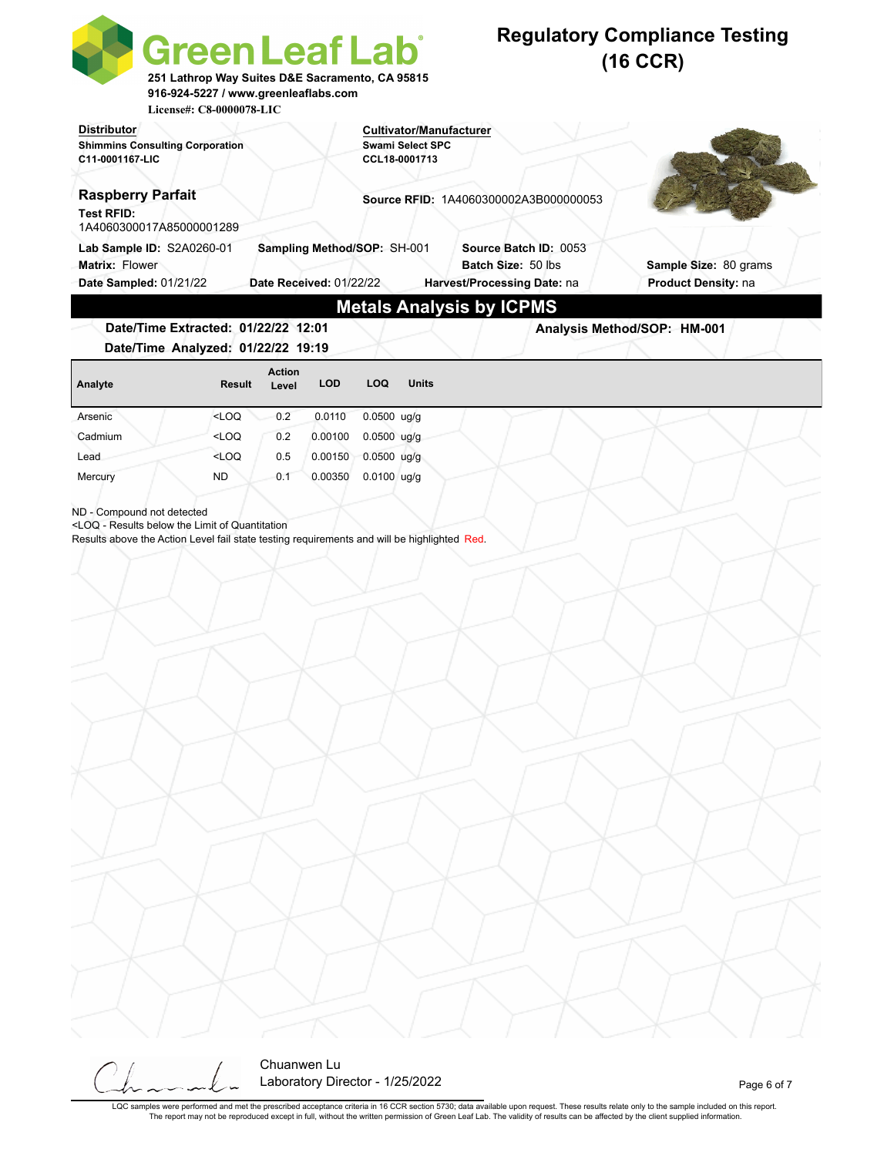| <b>Cultivator/Manufacturer</b><br><b>Swami Select SPC</b><br><b>Shimmins Consulting Corporation</b><br>CCL18-0001713<br><b>Raspberry Parfait</b><br><b>Source RFID: 1A4060300002A3B000000053</b><br>1A4060300017A85000001289<br>Lab Sample ID: S2A0260-01<br>Sampling Method/SOP: SH-001<br>Source Batch ID: 0053<br>Batch Size: 50 lbs<br>Sample Size: 80 grams<br>Date Sampled: 01/21/22<br>Date Received: 01/22/22<br><b>Product Density: na</b><br>Harvest/Processing Date: na<br><b>Metals Analysis by ICPMS</b><br>Date/Time Extracted: 01/22/22 12:01<br>Analysis Method/SOP: HM-001<br>Date/Time Analyzed: 01/22/22 19:19<br><b>Action</b><br><b>LOD</b><br><b>LOQ</b><br><b>Units</b><br><b>Result</b><br>Level<br>$<$ LOQ<br>0.2<br>0.0110<br>$0.0500$ ug/g<br><loq<br>0.2<br/>0.00100<br/><math>0.0500</math> ug/g<br/>Cadmium<br/><math>&lt;</math>LOQ<br/>0.5<br/>0.00150<br/><math>0.0500</math> ug/g<br/>Lead<br/><b>ND</b><br/>0.1<br/>0.00350<br/>0.0100 ug/g<br/>ND - Compound not detected<br/><loq -="" below="" limit="" of="" quantitation<br="" results="" the="">Results above the Action Level fail state testing requirements and will be highlighted Red.</loq></loq<br> |                                       | <b>Green Leaf Lab</b><br>251 Lathrop Way Suites D&E Sacramento, CA 95815<br>916-924-5227 / www.greenleaflabs.com<br>License#: C8-0000078-LIC |  |  | <b>Regulatory Compliance Testing</b><br>$(16$ CCR) |
|-----------------------------------------------------------------------------------------------------------------------------------------------------------------------------------------------------------------------------------------------------------------------------------------------------------------------------------------------------------------------------------------------------------------------------------------------------------------------------------------------------------------------------------------------------------------------------------------------------------------------------------------------------------------------------------------------------------------------------------------------------------------------------------------------------------------------------------------------------------------------------------------------------------------------------------------------------------------------------------------------------------------------------------------------------------------------------------------------------------------------------------------------------------------------------------------------------|---------------------------------------|----------------------------------------------------------------------------------------------------------------------------------------------|--|--|----------------------------------------------------|
|                                                                                                                                                                                                                                                                                                                                                                                                                                                                                                                                                                                                                                                                                                                                                                                                                                                                                                                                                                                                                                                                                                                                                                                                     | <b>Distributor</b><br>C11-0001167-LIC |                                                                                                                                              |  |  |                                                    |
|                                                                                                                                                                                                                                                                                                                                                                                                                                                                                                                                                                                                                                                                                                                                                                                                                                                                                                                                                                                                                                                                                                                                                                                                     | <b>Test RFID:</b>                     |                                                                                                                                              |  |  |                                                    |
|                                                                                                                                                                                                                                                                                                                                                                                                                                                                                                                                                                                                                                                                                                                                                                                                                                                                                                                                                                                                                                                                                                                                                                                                     | Matrix: Flower                        |                                                                                                                                              |  |  |                                                    |
|                                                                                                                                                                                                                                                                                                                                                                                                                                                                                                                                                                                                                                                                                                                                                                                                                                                                                                                                                                                                                                                                                                                                                                                                     |                                       |                                                                                                                                              |  |  |                                                    |
|                                                                                                                                                                                                                                                                                                                                                                                                                                                                                                                                                                                                                                                                                                                                                                                                                                                                                                                                                                                                                                                                                                                                                                                                     |                                       |                                                                                                                                              |  |  |                                                    |
|                                                                                                                                                                                                                                                                                                                                                                                                                                                                                                                                                                                                                                                                                                                                                                                                                                                                                                                                                                                                                                                                                                                                                                                                     | Analyte                               |                                                                                                                                              |  |  |                                                    |
|                                                                                                                                                                                                                                                                                                                                                                                                                                                                                                                                                                                                                                                                                                                                                                                                                                                                                                                                                                                                                                                                                                                                                                                                     | Arsenic                               |                                                                                                                                              |  |  |                                                    |
|                                                                                                                                                                                                                                                                                                                                                                                                                                                                                                                                                                                                                                                                                                                                                                                                                                                                                                                                                                                                                                                                                                                                                                                                     |                                       |                                                                                                                                              |  |  |                                                    |
|                                                                                                                                                                                                                                                                                                                                                                                                                                                                                                                                                                                                                                                                                                                                                                                                                                                                                                                                                                                                                                                                                                                                                                                                     |                                       |                                                                                                                                              |  |  |                                                    |
|                                                                                                                                                                                                                                                                                                                                                                                                                                                                                                                                                                                                                                                                                                                                                                                                                                                                                                                                                                                                                                                                                                                                                                                                     | Mercury                               |                                                                                                                                              |  |  |                                                    |
|                                                                                                                                                                                                                                                                                                                                                                                                                                                                                                                                                                                                                                                                                                                                                                                                                                                                                                                                                                                                                                                                                                                                                                                                     |                                       |                                                                                                                                              |  |  |                                                    |
|                                                                                                                                                                                                                                                                                                                                                                                                                                                                                                                                                                                                                                                                                                                                                                                                                                                                                                                                                                                                                                                                                                                                                                                                     |                                       |                                                                                                                                              |  |  |                                                    |
|                                                                                                                                                                                                                                                                                                                                                                                                                                                                                                                                                                                                                                                                                                                                                                                                                                                                                                                                                                                                                                                                                                                                                                                                     |                                       |                                                                                                                                              |  |  |                                                    |



LQC samples were performed and met the prescribed acceptance criteria in 16 CCR section 5730; data available upon request. These results relate only to the sample included on this report.<br>The report may not be reproduced e